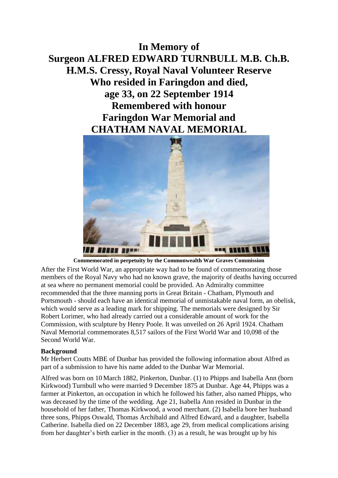## **In Memory of Surgeon ALFRED EDWARD TURNBULL M.B. Ch.B. H.M.S. Cressy, Royal Naval Volunteer Reserve Who resided in Faringdon and died, age 33, on 22 September 1914 Remembered with honour Faringdon War Memorial and CHATHAM NAVAL MEMORIAL**



**Commemorated in perpetuity by the Commonwealth War Graves Commission** 

After the First World War, an appropriate way had to be found of commemorating those members of the Royal Navy who had no known grave, the majority of deaths having occurred at sea where no permanent memorial could be provided. An Admiralty committee recommended that the three manning ports in Great Britain - Chatham, Plymouth and Portsmouth - should each have an identical memorial of unmistakable naval form, an obelisk, which would serve as a leading mark for shipping. The memorials were designed by Sir Robert Lorimer, who had already carried out a considerable amount of work for the Commission, with sculpture by Henry Poole. It was unveiled on 26 April 1924. Chatham Naval Memorial commemorates 8,517 sailors of the First World War and 10,098 of the Second World War.

## **Background**

Mr Herbert Coutts MBE of Dunbar has provided the following information about Alfred as part of a submission to have his name added to the Dunbar War Memorial.

Alfred was born on 10 March 1882, Pinkerton, Dunbar. (1) to Phipps and Isabella Ann (born Kirkwood) Turnbull who were married 9 December 1875 at Dunbar. Age 44, Phipps was a farmer at Pinkerton, an occupation in which he followed his father, also named Phipps, who was deceased by the time of the wedding. Age 21, Isabella Ann resided in Dunbar in the household of her father, Thomas Kirkwood, a wood merchant. (2) Isabella bore her husband three sons, Phipps Oswald, Thomas Archibald and Alfred Edward, and a daughter, Isabella Catherine. Isabella died on 22 December 1883, age 29, from medical complications arising from her daughter's birth earlier in the month. (3) as a result, he was brought up by his